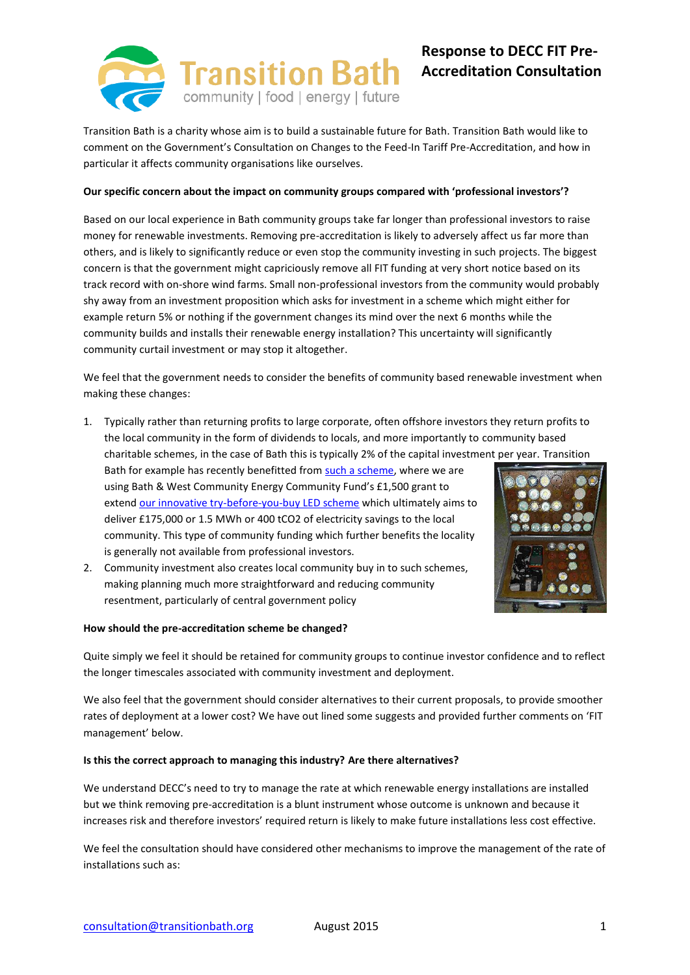

# **Response to DECC FIT Pre-Accreditation Consultation**

Transition Bath is a charity whose aim is to build a sustainable future for Bath. Transition Bath would like to comment on the Government's Consultation on Changes to the Feed-In Tariff Pre-Accreditation, and how in particular it affects community organisations like ourselves.

#### **Our specific concern about the impact on community groups compared with 'professional investors'?**

Based on our local experience in Bath community groups take far longer than professional investors to raise money for renewable investments. Removing pre-accreditation is likely to adversely affect us far more than others, and is likely to significantly reduce or even stop the community investing in such projects. The biggest concern is that the government might capriciously remove all FIT funding at very short notice based on its track record with on-shore wind farms. Small non-professional investors from the community would probably shy away from an investment proposition which asks for investment in a scheme which might either for example return 5% or nothing if the government changes its mind over the next 6 months while the community builds and installs their renewable energy installation? This uncertainty will significantly community curtail investment or may stop it altogether.

We feel that the government needs to consider the benefits of community based renewable investment when making these changes:

1. Typically rather than returning profits to large corporate, often offshore investors they return profits to the local community in the form of dividends to locals, and more importantly to community based charitable schemes, in the case of Bath this is typically 2% of the capital investment per year. Transition

Bath for example has recently benefitted fro[m such a scheme,](http://transitionbath.org/bwce-community-awards-2015-announced/) where we are using Bath & West Community Energy Community Fund's £1,500 grant to exten[d our innovative try-before-you-buy LED scheme](http://transitionbath.org/transition-bath-wins-1500-grant-bwce-roll-led-try-buy-kits/) which ultimately aims to deliver £175,000 or 1.5 MWh or 400 tCO2 of electricity savings to the local community. This type of community funding which further benefits the locality is generally not available from professional investors.



2. Community investment also creates local community buy in to such schemes, making planning much more straightforward and reducing community resentment, particularly of central government policy

#### **How should the pre-accreditation scheme be changed?**

Quite simply we feel it should be retained for community groups to continue investor confidence and to reflect the longer timescales associated with community investment and deployment.

We also feel that the government should consider alternatives to their current proposals, to provide smoother rates of deployment at a lower cost? We have out lined some suggests and provided further comments on 'FIT management' below.

#### **Is this the correct approach to managing this industry? Are there alternatives?**

We understand DECC's need to try to manage the rate at which renewable energy installations are installed but we think removing pre-accreditation is a blunt instrument whose outcome is unknown and because it increases risk and therefore investors' required return is likely to make future installations less cost effective.

We feel the consultation should have considered other mechanisms to improve the management of the rate of installations such as: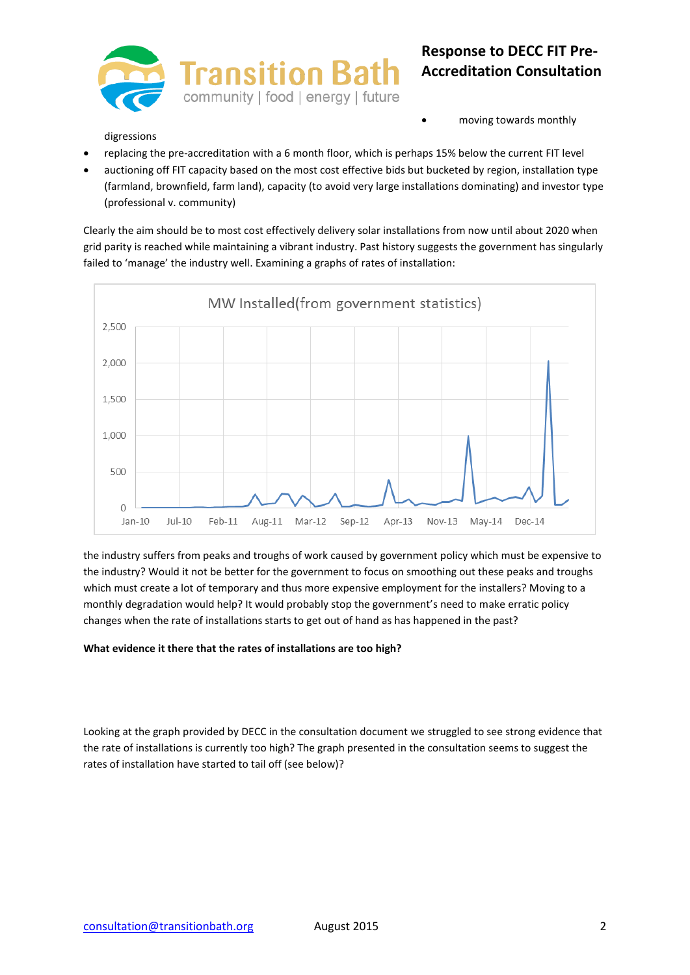

# **Response to DECC FIT Pre-Accreditation Consultation**

digressions

moving towards monthly

- replacing the pre-accreditation with a 6 month floor, which is perhaps 15% below the current FIT level
- auctioning off FIT capacity based on the most cost effective bids but bucketed by region, installation type (farmland, brownfield, farm land), capacity (to avoid very large installations dominating) and investor type (professional v. community)

Clearly the aim should be to most cost effectively delivery solar installations from now until about 2020 when grid parity is reached while maintaining a vibrant industry. Past history suggests the government has singularly failed to 'manage' the industry well. Examining a graphs of rates of installation:



the industry suffers from peaks and troughs of work caused by government policy which must be expensive to the industry? Would it not be better for the government to focus on smoothing out these peaks and troughs which must create a lot of temporary and thus more expensive employment for the installers? Moving to a monthly degradation would help? It would probably stop the government's need to make erratic policy changes when the rate of installations starts to get out of hand as has happened in the past?

### **What evidence it there that the rates of installations are too high?**

Looking at the graph provided by DECC in the consultation document we struggled to see strong evidence that the rate of installations is currently too high? The graph presented in the consultation seems to suggest the rates of installation have started to tail off (see below)?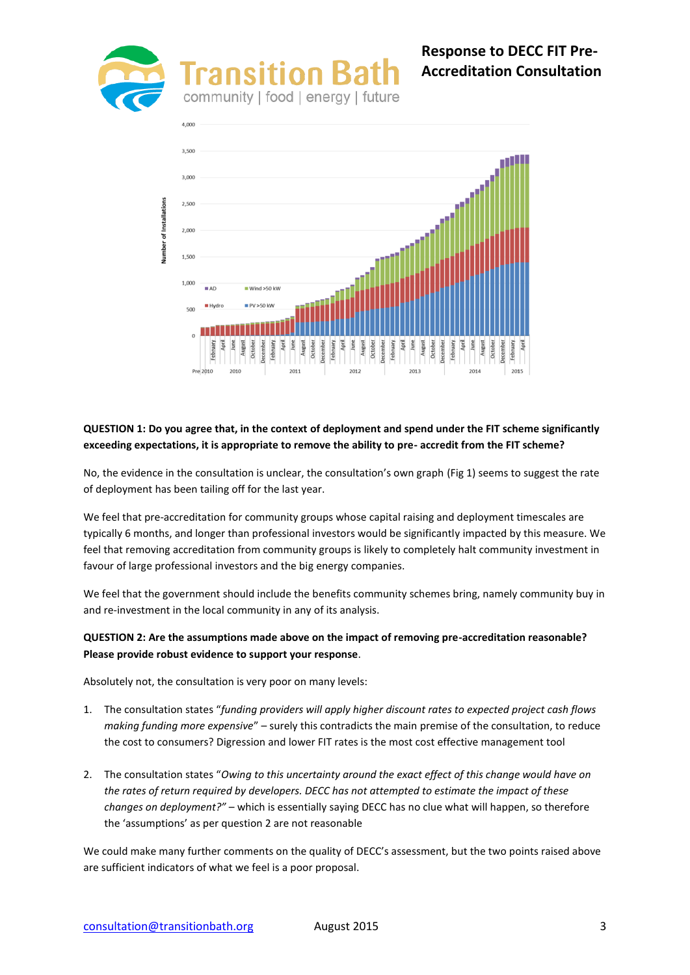

# **Response to DECC FIT Pre-Accreditation Consultation**



# **QUESTION 1: Do you agree that, in the context of deployment and spend under the FIT scheme significantly exceeding expectations, it is appropriate to remove the ability to pre- accredit from the FIT scheme?**

No, the evidence in the consultation is unclear, the consultation's own graph (Fig 1) seems to suggest the rate of deployment has been tailing off for the last year.

We feel that pre-accreditation for community groups whose capital raising and deployment timescales are typically 6 months, and longer than professional investors would be significantly impacted by this measure. We feel that removing accreditation from community groups is likely to completely halt community investment in favour of large professional investors and the big energy companies.

We feel that the government should include the benefits community schemes bring, namely community buy in and re-investment in the local community in any of its analysis.

## **QUESTION 2: Are the assumptions made above on the impact of removing pre-accreditation reasonable? Please provide robust evidence to support your response**.

Absolutely not, the consultation is very poor on many levels:

- 1. The consultation states "*funding providers will apply higher discount rates to expected project cash flows making funding more expensive*" – surely this contradicts the main premise of the consultation, to reduce the cost to consumers? Digression and lower FIT rates is the most cost effective management tool
- 2. The consultation states "*Owing to this uncertainty around the exact effect of this change would have on the rates of return required by developers. DECC has not attempted to estimate the impact of these changes on deployment?"* – which is essentially saying DECC has no clue what will happen, so therefore the 'assumptions' as per question 2 are not reasonable

We could make many further comments on the quality of DECC's assessment, but the two points raised above are sufficient indicators of what we feel is a poor proposal.